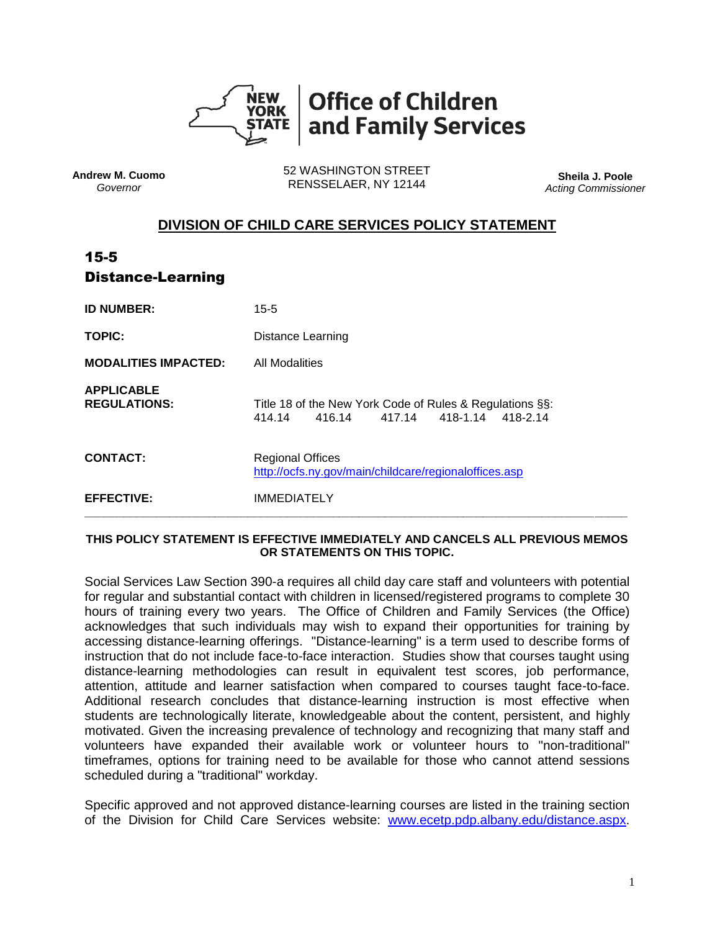

**Andrew M. Cuomo** *Governor*

52 WASHINGTON STREET RENSSELAER, NY 12144 **Sheila J. Poole**

*Acting Commissioner*

## **DIVISION OF CHILD CARE SERVICES POLICY STATEMENT**

| $15 - 5$<br><b>Distance-Learning</b>     |                                                                                                    |
|------------------------------------------|----------------------------------------------------------------------------------------------------|
| <b>ID NUMBER:</b>                        | $15 - 5$                                                                                           |
| <b>TOPIC:</b>                            | <b>Distance Learning</b>                                                                           |
| <b>MODALITIES IMPACTED:</b>              | <b>All Modalities</b>                                                                              |
| <b>APPLICABLE</b><br><b>REGULATIONS:</b> | Title 18 of the New York Code of Rules & Regulations §§:<br>414.14 416.14 417.14 418-1.14 418-2.14 |
| <b>CONTACT:</b>                          | <b>Regional Offices</b><br>http://ocfs.ny.gov/main/childcare/regionaloffices.asp                   |
| <b>EFFECTIVE:</b>                        | <b>IMMEDIATELY</b>                                                                                 |

## **THIS POLICY STATEMENT IS EFFECTIVE IMMEDIATELY AND CANCELS ALL PREVIOUS MEMOS OR STATEMENTS ON THIS TOPIC.**

Social Services Law Section 390-a requires all child day care staff and volunteers with potential for regular and substantial contact with children in licensed/registered programs to complete 30 hours of training every two years. The Office of Children and Family Services (the Office) acknowledges that such individuals may wish to expand their opportunities for training by accessing distance-learning offerings. "Distance-learning" is a term used to describe forms of instruction that do not include face-to-face interaction. Studies show that courses taught using distance-learning methodologies can result in equivalent test scores, job performance, attention, attitude and learner satisfaction when compared to courses taught face-to-face. Additional research concludes that distance-learning instruction is most effective when students are technologically literate, knowledgeable about the content, persistent, and highly motivated. Given the increasing prevalence of technology and recognizing that many staff and volunteers have expanded their available work or volunteer hours to "non-traditional" timeframes, options for training need to be available for those who cannot attend sessions scheduled during a "traditional" workday.

Specific approved and not approved distance-learning courses are listed in the training section of the Division for Child Care Services website: [www.ecetp.pdp.albany.edu/distance.aspx.](http://www.ecetp.pdp.albany.edu/distance.aspx)